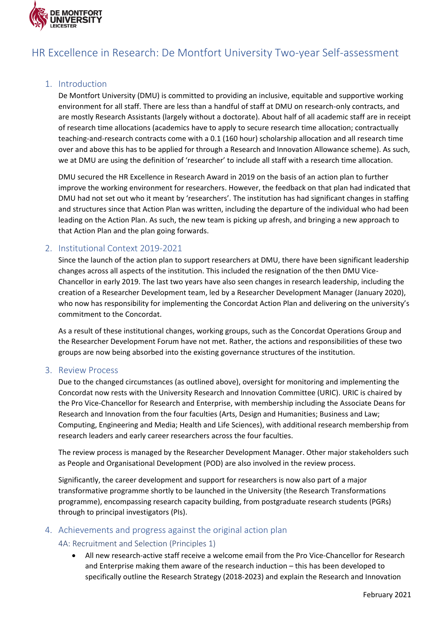

# HR Excellence in Research: De Montfort University Two-year Self-assessment

# 1. Introduction

De Montfort University (DMU) is committed to providing an inclusive, equitable and supportive working environment for all staff. There are less than a handful of staff at DMU on research-only contracts, and are mostly Research Assistants (largely without a doctorate). About half of all academic staff are in receipt of research time allocations (academics have to apply to secure research time allocation; contractually teaching-and-research contracts come with a 0.1 (160 hour) scholarship allocation and all research time over and above this has to be applied for through a Research and Innovation Allowance scheme). As such, we at DMU are using the definition of 'researcher' to include all staff with a research time allocation.

DMU secured the HR Excellence in Research Award in 2019 on the basis of an action plan to further improve the working environment for researchers. However, the feedback on that plan had indicated that DMU had not set out who it meant by 'researchers'. The institution has had significant changes in staffing and structures since that Action Plan was written, including the departure of the individual who had been leading on the Action Plan. As such, the new team is picking up afresh, and bringing a new approach to that Action Plan and the plan going forwards.

# 2. Institutional Context 2019-2021

Since the launch of the action plan to support researchers at DMU, there have been significant leadership changes across all aspects of the institution. This included the resignation of the then DMU Vice-Chancellor in early 2019. The last two years have also seen changes in research leadership, including the creation of a Researcher Development team, led by a Researcher Development Manager (January 2020), who now has responsibility for implementing the Concordat Action Plan and delivering on the university's commitment to the Concordat.

As a result of these institutional changes, working groups, such as the Concordat Operations Group and the Researcher Development Forum have not met. Rather, the actions and responsibilities of these two groups are now being absorbed into the existing governance structures of the institution.

## 3. Review Process

Due to the changed circumstances (as outlined above), oversight for monitoring and implementing the Concordat now rests with the University Research and Innovation Committee (URIC). URIC is chaired by the Pro Vice-Chancellor for Research and Enterprise, with membership including the Associate Deans for Research and Innovation from the four faculties (Arts, Design and Humanities; Business and Law; Computing, Engineering and Media; Health and Life Sciences), with additional research membership from research leaders and early career researchers across the four faculties.

The review process is managed by the Researcher Development Manager. Other major stakeholders such as People and Organisational Development (POD) are also involved in the review process.

Significantly, the career development and support for researchers is now also part of a major transformative programme shortly to be launched in the University (the Research Transformations programme), encompassing research capacity building, from postgraduate research students (PGRs) through to principal investigators (PIs).

## 4. Achievements and progress against the original action plan

## 4A: Recruitment and Selection (Principles 1)

• All new research-active staff receive a welcome email from the Pro Vice-Chancellor for Research and Enterprise making them aware of the research induction – this has been developed to specifically outline the Research Strategy (2018-2023) and explain the Research and Innovation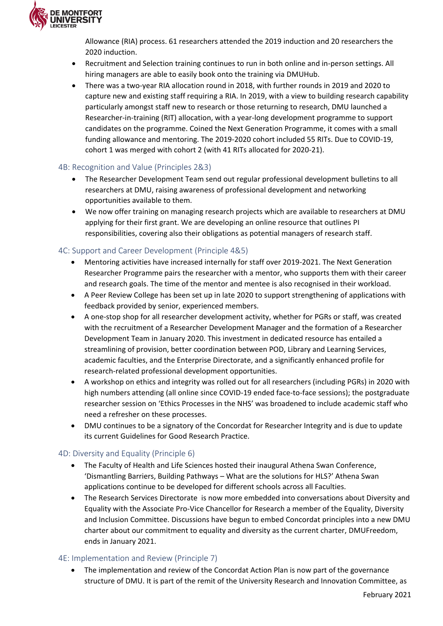

Allowance (RIA) process. 61 researchers attended the 2019 induction and 20 researchers the 2020 induction.

- Recruitment and Selection training continues to run in both online and in-person settings. All hiring managers are able to easily book onto the training via DMUHub.
- There was a two-year RIA allocation round in 2018, with further rounds in 2019 and 2020 to capture new and existing staff requiring a RIA. In 2019, with a view to building research capability particularly amongst staff new to research or those returning to research, DMU launched a Researcher-in-training (RIT) allocation, with a year-long development programme to support candidates on the programme. Coined the Next Generation Programme, it comes with a small funding allowance and mentoring. The 2019-2020 cohort included 55 RITs. Due to COVID-19, cohort 1 was merged with cohort 2 (with 41 RITs allocated for 2020-21).

## 4B: Recognition and Value (Principles 2&3)

- The Researcher Development Team send out regular professional development bulletins to all researchers at DMU, raising awareness of professional development and networking opportunities available to them.
- We now offer training on managing research projects which are available to researchers at DMU applying for their first grant. We are developing an online resource that outlines PI responsibilities, covering also their obligations as potential managers of research staff.

## 4C: Support and Career Development (Principle 4&5)

- Mentoring activities have increased internally for staff over 2019-2021. The Next Generation Researcher Programme pairs the researcher with a mentor, who supports them with their career and research goals. The time of the mentor and mentee is also recognised in their workload.
- A Peer Review College has been set up in late 2020 to support strengthening of applications with feedback provided by senior, experienced members.
- A one-stop shop for all researcher development activity, whether for PGRs or staff, was created with the recruitment of a Researcher Development Manager and the formation of a Researcher Development Team in January 2020. This investment in dedicated resource has entailed a streamlining of provision, better coordination between POD, Library and Learning Services, academic faculties, and the Enterprise Directorate, and a significantly enhanced profile for research-related professional development opportunities.
- A workshop on ethics and integrity was rolled out for all researchers (including PGRs) in 2020 with high numbers attending (all online since COVID-19 ended face-to-face sessions); the postgraduate researcher session on 'Ethics Processes in the NHS' was broadened to include academic staff who need a refresher on these processes.
- DMU continues to be a signatory of the Concordat for Researcher Integrity and is due to update its current Guidelines for Good Research Practice.

## 4D: Diversity and Equality (Principle 6)

- The Faculty of Health and Life Sciences hosted their inaugural Athena Swan Conference, 'Dismantling Barriers, Building Pathways – What are the solutions for HLS?' Athena Swan applications continue to be developed for different schools across all Faculties.
- The Research Services Directorate is now more embedded into conversations about Diversity and Equality with the Associate Pro-Vice Chancellor for Research a member of the Equality, Diversity and Inclusion Committee. Discussions have begun to embed Concordat principles into a new DMU charter about our commitment to equality and diversity as the current charter, DMUFreedom, ends in January 2021.

## 4E: Implementation and Review (Principle 7)

• The implementation and review of the Concordat Action Plan is now part of the governance structure of DMU. It is part of the remit of the University Research and Innovation Committee, as